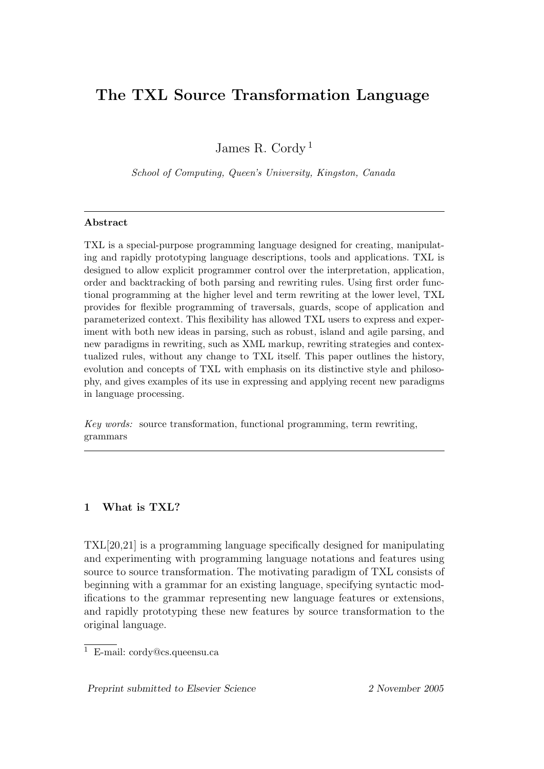# The TXL Source Transformation Language

James R. Cordy <sup>1</sup>

School of Computing, Queen's University, Kingston, Canada

## Abstract

TXL is a special-purpose programming language designed for creating, manipulating and rapidly prototyping language descriptions, tools and applications. TXL is designed to allow explicit programmer control over the interpretation, application, order and backtracking of both parsing and rewriting rules. Using first order functional programming at the higher level and term rewriting at the lower level, TXL provides for flexible programming of traversals, guards, scope of application and parameterized context. This flexibility has allowed TXL users to express and experiment with both new ideas in parsing, such as robust, island and agile parsing, and new paradigms in rewriting, such as XML markup, rewriting strategies and contextualized rules, without any change to TXL itself. This paper outlines the history, evolution and concepts of TXL with emphasis on its distinctive style and philosophy, and gives examples of its use in expressing and applying recent new paradigms in language processing.

Key words: source transformation, functional programming, term rewriting, grammars

# 1 What is TXL?

TXL[20,21] is a programming language specifically designed for manipulating and experimenting with programming language notations and features using source to source transformation. The motivating paradigm of TXL consists of beginning with a grammar for an existing language, specifying syntactic modifications to the grammar representing new language features or extensions, and rapidly prototyping these new features by source transformation to the original language.

Preprint submitted to Elsevier Science 2005

<sup>1</sup> E-mail: cordy@cs.queensu.ca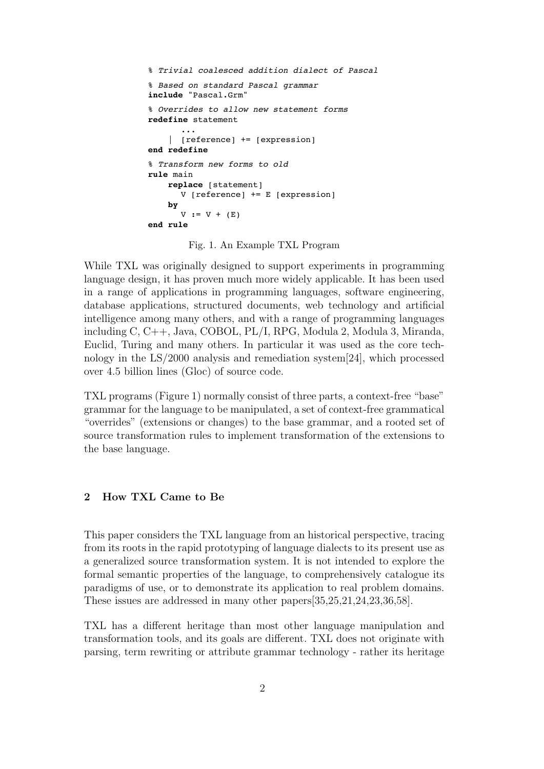```
% Trivial coalesced addition dialect of Pascal
% Based on standard Pascal grammar
include "Pascal.Grm"
% Overrides to allow new statement forms
redefine statement
       ...
      | [reference] += [expression]
end redefine
% Transform new forms to old
rule main
     replace [statement]
      V [reference] += E [expression]
     by
      V := V + (E)end rule
```
Fig. 1. An Example TXL Program

While TXL was originally designed to support experiments in programming language design, it has proven much more widely applicable. It has been used in a range of applications in programming languages, software engineering, database applications, structured documents, web technology and artificial intelligence among many others, and with a range of programming languages including C, C++, Java, COBOL, PL/I, RPG, Modula 2, Modula 3, Miranda, Euclid, Turing and many others. In particular it was used as the core technology in the  $LS/2000$  analysis and remediation system [24], which processed over 4.5 billion lines (Gloc) of source code.

TXL programs (Figure 1) normally consist of three parts, a context-free "base" grammar for the language to be manipulated, a set of context-free grammatical "overrides" (extensions or changes) to the base grammar, and a rooted set of source transformation rules to implement transformation of the extensions to the base language.

# 2 How TXL Came to Be

This paper considers the TXL language from an historical perspective, tracing from its roots in the rapid prototyping of language dialects to its present use as a generalized source transformation system. It is not intended to explore the formal semantic properties of the language, to comprehensively catalogue its paradigms of use, or to demonstrate its application to real problem domains. These issues are addressed in many other papers[35,25,21,24,23,36,58].

TXL has a different heritage than most other language manipulation and transformation tools, and its goals are different. TXL does not originate with parsing, term rewriting or attribute grammar technology - rather its heritage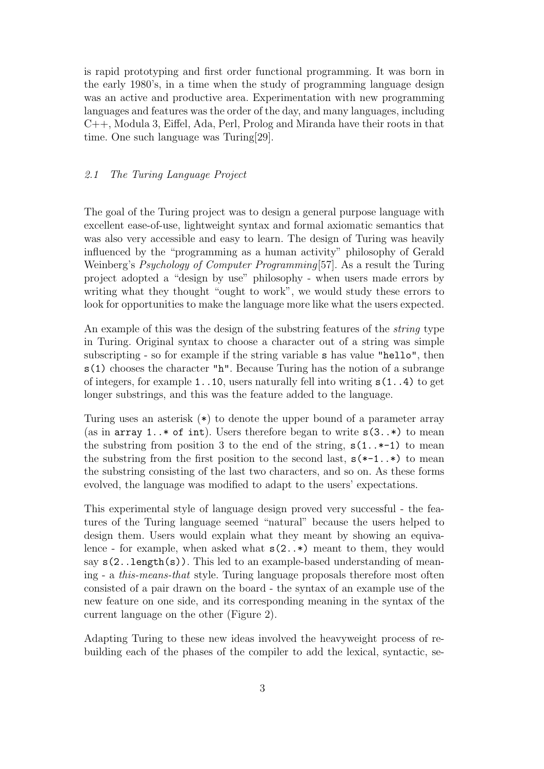is rapid prototyping and first order functional programming. It was born in the early 1980's, in a time when the study of programming language design was an active and productive area. Experimentation with new programming languages and features was the order of the day, and many languages, including C++, Modula 3, Eiffel, Ada, Perl, Prolog and Miranda have their roots in that time. One such language was Turing[29].

## 2.1 The Turing Language Project

The goal of the Turing project was to design a general purpose language with excellent ease-of-use, lightweight syntax and formal axiomatic semantics that was also very accessible and easy to learn. The design of Turing was heavily influenced by the "programming as a human activity" philosophy of Gerald Weinberg's Psychology of Computer Programming[57]. As a result the Turing project adopted a "design by use" philosophy - when users made errors by writing what they thought "ought to work", we would study these errors to look for opportunities to make the language more like what the users expected.

An example of this was the design of the substring features of the string type in Turing. Original syntax to choose a character out of a string was simple subscripting - so for example if the string variable s has value "hello", then s(1) chooses the character "h". Because Turing has the notion of a subrange of integers, for example 1..10, users naturally fell into writing  $s(1..4)$  to get longer substrings, and this was the feature added to the language.

Turing uses an asterisk (\*) to denote the upper bound of a parameter array (as in array 1..\* of int). Users therefore began to write  $s(3..*)$  to mean the substring from position 3 to the end of the string,  $s(1 \tcdot \tcdot -1)$  to mean the substring from the first position to the second last,  $s(*-1..*)$  to mean the substring consisting of the last two characters, and so on. As these forms evolved, the language was modified to adapt to the users' expectations.

This experimental style of language design proved very successful - the features of the Turing language seemed "natural" because the users helped to design them. Users would explain what they meant by showing an equivalence - for example, when asked what  $s(2, .*)$  meant to them, they would say s(2..length(s)). This led to an example-based understanding of meaning - a this-means-that style. Turing language proposals therefore most often consisted of a pair drawn on the board - the syntax of an example use of the new feature on one side, and its corresponding meaning in the syntax of the current language on the other (Figure 2).

Adapting Turing to these new ideas involved the heavyweight process of rebuilding each of the phases of the compiler to add the lexical, syntactic, se-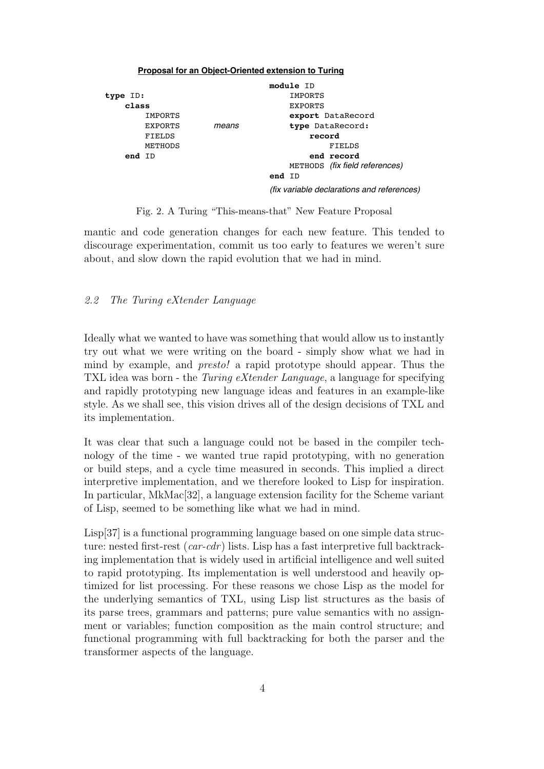|          |                | module ID |                  |                                                   |                                |  |
|----------|----------------|-----------|------------------|---------------------------------------------------|--------------------------------|--|
| type ID: |                |           |                  | <b>IMPORTS</b>                                    |                                |  |
| class    |                |           | <b>EXPORTS</b>   |                                                   |                                |  |
|          | <b>IMPORTS</b> |           |                  | export DataRecord                                 |                                |  |
|          | <b>EXPORTS</b> | means     | type DataRecord: |                                                   |                                |  |
| FIELDS   |                |           | record           |                                                   |                                |  |
|          | METHODS        |           |                  |                                                   | FIELDS                         |  |
| end ID   |                |           |                  |                                                   | end record                     |  |
|          |                |           |                  |                                                   | METHODS (fix field references) |  |
|          |                |           | end ID           |                                                   |                                |  |
|          |                |           |                  | <i>(fix variable declarations and references)</i> |                                |  |

#### **Proposal for an Object-Oriented extension to Turing**

Fig. 2. A Turing "This-means-that" New Feature Proposal

mantic and code generation changes for each new feature. This tended to discourage experimentation, commit us too early to features we weren't sure about, and slow down the rapid evolution that we had in mind.

2.2 The Turing eXtender Language

Ideally what we wanted to have was something that would allow us to instantly try out what we were writing on the board - simply show what we had in mind by example, and presto! a rapid prototype should appear. Thus the TXL idea was born - the *Turing eXtender Language*, a language for specifying and rapidly prototyping new language ideas and features in an example-like style. As we shall see, this vision drives all of the design decisions of TXL and its implementation.

It was clear that such a language could not be based in the compiler technology of the time - we wanted true rapid prototyping, with no generation or build steps, and a cycle time measured in seconds. This implied a direct interpretive implementation, and we therefore looked to Lisp for inspiration. In particular, MkMac[32], a language extension facility for the Scheme variant of Lisp, seemed to be something like what we had in mind.

Lisp[37] is a functional programming language based on one simple data structure: nested first-rest  $(car-cdr)$  lists. Lisp has a fast interpretive full backtracking implementation that is widely used in artificial intelligence and well suited to rapid prototyping. Its implementation is well understood and heavily optimized for list processing. For these reasons we chose Lisp as the model for the underlying semantics of TXL, using Lisp list structures as the basis of its parse trees, grammars and patterns; pure value semantics with no assignment or variables; function composition as the main control structure; and functional programming with full backtracking for both the parser and the transformer aspects of the language.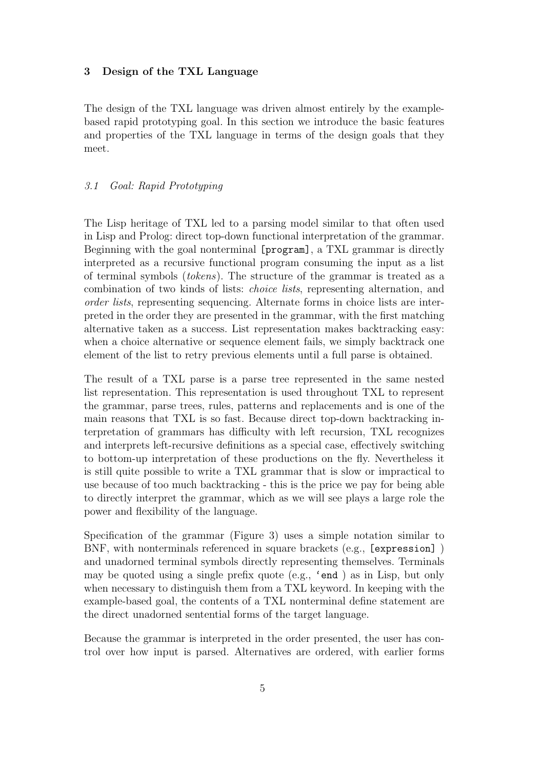#### 3 Design of the TXL Language

The design of the TXL language was driven almost entirely by the examplebased rapid prototyping goal. In this section we introduce the basic features and properties of the TXL language in terms of the design goals that they meet.

#### 3.1 Goal: Rapid Prototyping

The Lisp heritage of TXL led to a parsing model similar to that often used in Lisp and Prolog: direct top-down functional interpretation of the grammar. Beginning with the goal nonterminal [program], a TXL grammar is directly interpreted as a recursive functional program consuming the input as a list of terminal symbols (tokens). The structure of the grammar is treated as a combination of two kinds of lists: choice lists, representing alternation, and order lists, representing sequencing. Alternate forms in choice lists are interpreted in the order they are presented in the grammar, with the first matching alternative taken as a success. List representation makes backtracking easy: when a choice alternative or sequence element fails, we simply backtrack one element of the list to retry previous elements until a full parse is obtained.

The result of a TXL parse is a parse tree represented in the same nested list representation. This representation is used throughout TXL to represent the grammar, parse trees, rules, patterns and replacements and is one of the main reasons that TXL is so fast. Because direct top-down backtracking interpretation of grammars has difficulty with left recursion, TXL recognizes and interprets left-recursive definitions as a special case, effectively switching to bottom-up interpretation of these productions on the fly. Nevertheless it is still quite possible to write a TXL grammar that is slow or impractical to use because of too much backtracking - this is the price we pay for being able to directly interpret the grammar, which as we will see plays a large role the power and flexibility of the language.

Specification of the grammar (Figure 3) uses a simple notation similar to BNF, with nonterminals referenced in square brackets (e.g., [expression] ) and unadorned terminal symbols directly representing themselves. Terminals may be quoted using a single prefix quote (e.g., 'end ) as in Lisp, but only when necessary to distinguish them from a TXL keyword. In keeping with the example-based goal, the contents of a TXL nonterminal define statement are the direct unadorned sentential forms of the target language.

Because the grammar is interpreted in the order presented, the user has control over how input is parsed. Alternatives are ordered, with earlier forms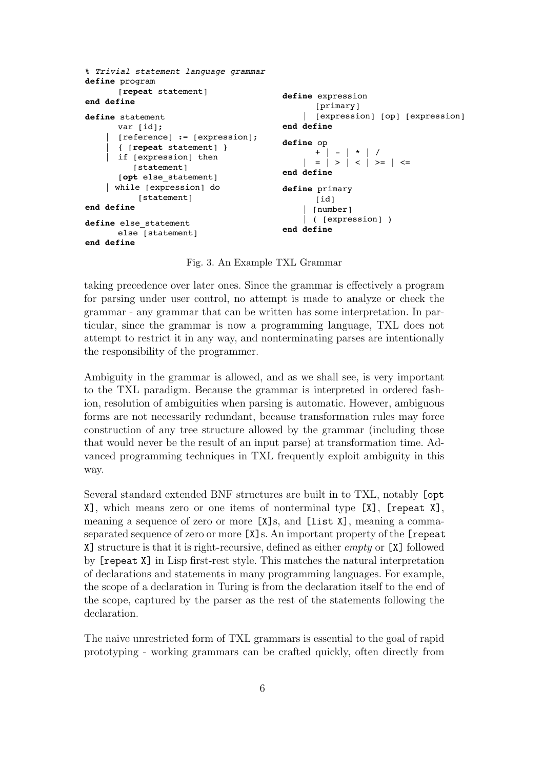```
% Trivial statement language grammar
define program
      [repeat statement]
end define
define statement
      var [id];
     | [reference] := [expression];
       | { [repeat statement] }
     if (expression) then
         [statement]
      [opt else_statement]
     | while [expression] do
          [statement]
end define
define else_statement
      else [statement]
end define
                                         define expression
                                                [primary]
                                              | [expression] [op] [expression]
                                         end define
                                         define op
                                             + | - | * | /
                                             | = | > | < | > | = | <end define
                                         define primary
                                                [id]
                                                | [number] 
                                              | ( [expression] )
                                         end define
```
Fig. 3. An Example TXL Grammar

taking precedence over later ones. Since the grammar is effectively a program for parsing under user control, no attempt is made to analyze or check the grammar - any grammar that can be written has some interpretation. In particular, since the grammar is now a programming language, TXL does not attempt to restrict it in any way, and nonterminating parses are intentionally the responsibility of the programmer.

Ambiguity in the grammar is allowed, and as we shall see, is very important to the TXL paradigm. Because the grammar is interpreted in ordered fashion, resolution of ambiguities when parsing is automatic. However, ambiguous forms are not necessarily redundant, because transformation rules may force construction of any tree structure allowed by the grammar (including those that would never be the result of an input parse) at transformation time. Advanced programming techniques in TXL frequently exploit ambiguity in this way.

Several standard extended BNF structures are built in to TXL, notably [opt X], which means zero or one items of nonterminal type [X], [repeat X], meaning a sequence of zero or more  $[X]$ s, and  $[i]$ ist X $]$ , meaning a commaseparated sequence of zero or more [X]s. An important property of the [repeat X] structure is that it is right-recursive, defined as either empty or [X] followed by [repeat X] in Lisp first-rest style. This matches the natural interpretation of declarations and statements in many programming languages. For example, the scope of a declaration in Turing is from the declaration itself to the end of the scope, captured by the parser as the rest of the statements following the declaration.

The naive unrestricted form of TXL grammars is essential to the goal of rapid prototyping - working grammars can be crafted quickly, often directly from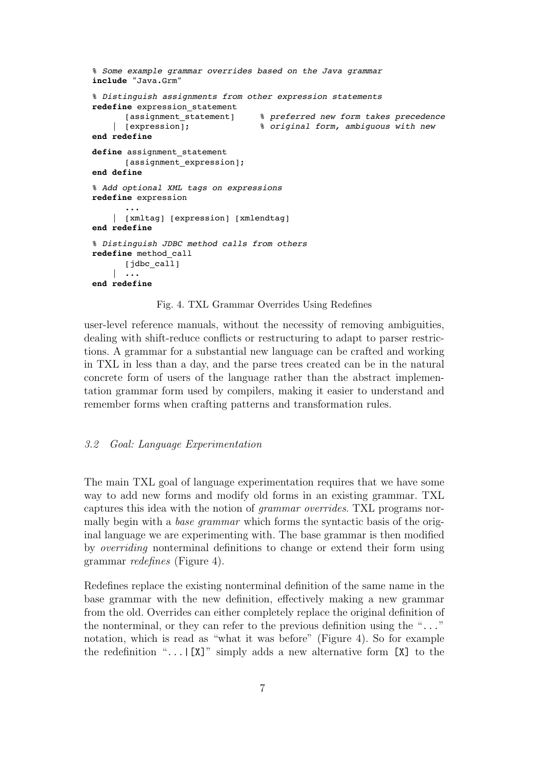```
% Some example grammar overrides based on the Java grammar
include "Java.Grm"
% Distinguish assignments from other expression statements 
redefine expression_statement
      [assignment statement] % preferred new form takes precedence
     | [expression]; % original form, ambiguous with new
end redefine
define assignment_statement
      [assignment_expression];
end define
% Add optional XML tags on expressions
redefine expression
      ...
     | [xmltag] [expression] [xmlendtag] 
end redefine
% Distinguish JDBC method calls from others
redefine method_call
      [jdbc_call]
     | ...
end redefine
```
Fig. 4. TXL Grammar Overrides Using Redefines

user-level reference manuals, without the necessity of removing ambiguities, dealing with shift-reduce conflicts or restructuring to adapt to parser restrictions. A grammar for a substantial new language can be crafted and working in TXL in less than a day, and the parse trees created can be in the natural concrete form of users of the language rather than the abstract implementation grammar form used by compilers, making it easier to understand and remember forms when crafting patterns and transformation rules.

# 3.2 Goal: Language Experimentation

The main TXL goal of language experimentation requires that we have some way to add new forms and modify old forms in an existing grammar. TXL captures this idea with the notion of grammar overrides. TXL programs normally begin with a *base grammar* which forms the syntactic basis of the original language we are experimenting with. The base grammar is then modified by overriding nonterminal definitions to change or extend their form using grammar redefines (Figure 4).

Redefines replace the existing nonterminal definition of the same name in the base grammar with the new definition, effectively making a new grammar from the old. Overrides can either completely replace the original definition of the nonterminal, or they can refer to the previous definition using the " $\dots$ " notation, which is read as "what it was before" (Figure 4). So for example the redefinition " $\dots$  [X]" simply adds a new alternative form [X] to the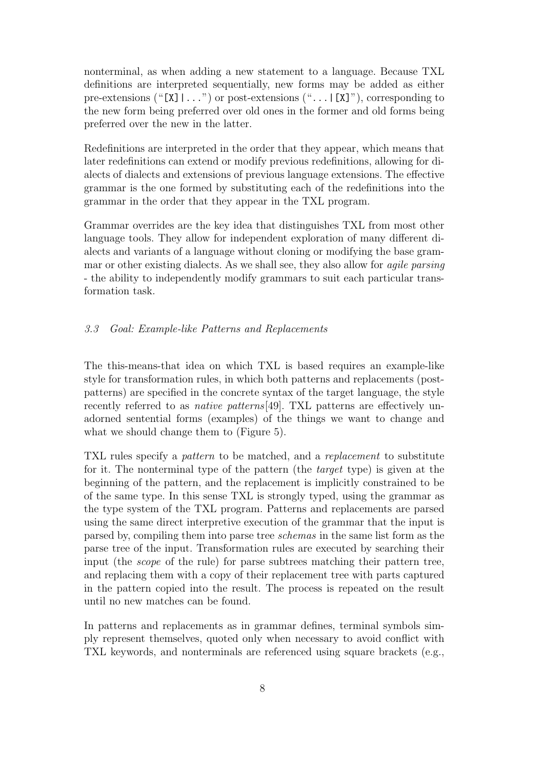nonterminal, as when adding a new statement to a language. Because TXL definitions are interpreted sequentially, new forms may be added as either pre-extensions  $("X] | ...")$  or post-extensions  $("...|X]")$ , corresponding to the new form being preferred over old ones in the former and old forms being preferred over the new in the latter.

Redefinitions are interpreted in the order that they appear, which means that later redefinitions can extend or modify previous redefinitions, allowing for dialects of dialects and extensions of previous language extensions. The effective grammar is the one formed by substituting each of the redefinitions into the grammar in the order that they appear in the TXL program.

Grammar overrides are the key idea that distinguishes TXL from most other language tools. They allow for independent exploration of many different dialects and variants of a language without cloning or modifying the base grammar or other existing dialects. As we shall see, they also allow for agile parsing - the ability to independently modify grammars to suit each particular transformation task.

## 3.3 Goal: Example-like Patterns and Replacements

The this-means-that idea on which TXL is based requires an example-like style for transformation rules, in which both patterns and replacements (postpatterns) are specified in the concrete syntax of the target language, the style recently referred to as *native patterns*[49]. TXL patterns are effectively unadorned sentential forms (examples) of the things we want to change and what we should change them to (Figure 5).

TXL rules specify a *pattern* to be matched, and a *replacement* to substitute for it. The nonterminal type of the pattern (the target type) is given at the beginning of the pattern, and the replacement is implicitly constrained to be of the same type. In this sense TXL is strongly typed, using the grammar as the type system of the TXL program. Patterns and replacements are parsed using the same direct interpretive execution of the grammar that the input is parsed by, compiling them into parse tree schemas in the same list form as the parse tree of the input. Transformation rules are executed by searching their input (the scope of the rule) for parse subtrees matching their pattern tree, and replacing them with a copy of their replacement tree with parts captured in the pattern copied into the result. The process is repeated on the result until no new matches can be found.

In patterns and replacements as in grammar defines, terminal symbols simply represent themselves, quoted only when necessary to avoid conflict with TXL keywords, and nonterminals are referenced using square brackets (e.g.,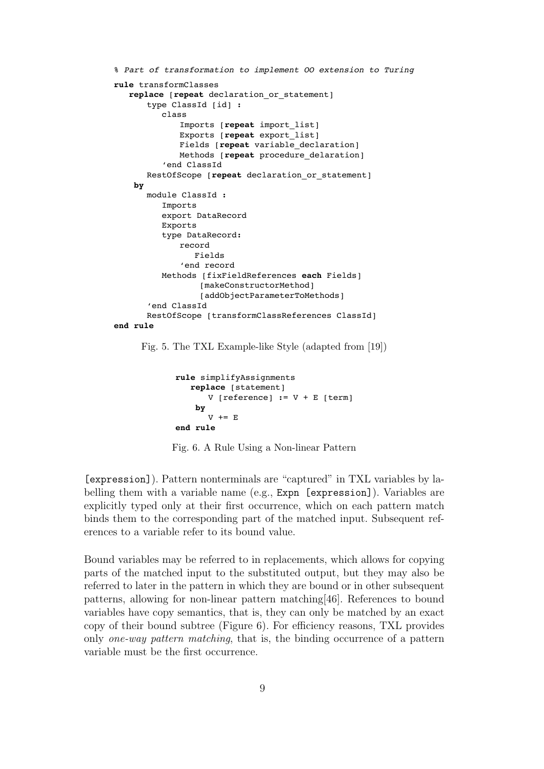```
% Part of transformation to implement OO extension to Turing
rule transformClasses
    replace [repeat declaration_or_statement]
       type ClassId [id] :
           class
             Imports [repeat import_list]
             Exports [repeat export_list]
             Fields [repeat variable_declaration]
             Methods [repeat procedure_delaration]
           'end ClassId
      RestOfScope [repeat declaration_or_statement]
     by
      module ClassId :
           Imports
           export DataRecord
           Exports 
           type DataRecord:
             record
                 Fields
              'end record
           Methods [fixFieldReferences each Fields]
                   [makeConstructorMethod]
                   [addObjectParameterToMethods]
       'end ClassId
      RestOfScope [transformClassReferences ClassId]
end rule
     Fig. 5. The TXL Example-like Style (adapted from [19])
```

```
rule simplifyAssignments
    replace [statement]
       V [reference] := V + E [term] by
       V \leftarrow Eend rule
```
Fig. 6. A Rule Using a Non-linear Pattern

[expression]). Pattern nonterminals are "captured" in TXL variables by labelling them with a variable name (e.g., Expn [expression]). Variables are explicitly typed only at their first occurrence, which on each pattern match binds them to the corresponding part of the matched input. Subsequent references to a variable refer to its bound value.

Bound variables may be referred to in replacements, which allows for copying parts of the matched input to the substituted output, but they may also be referred to later in the pattern in which they are bound or in other subsequent patterns, allowing for non-linear pattern matching[46]. References to bound variables have copy semantics, that is, they can only be matched by an exact copy of their bound subtree (Figure 6). For efficiency reasons, TXL provides only one-way pattern matching, that is, the binding occurrence of a pattern variable must be the first occurrence.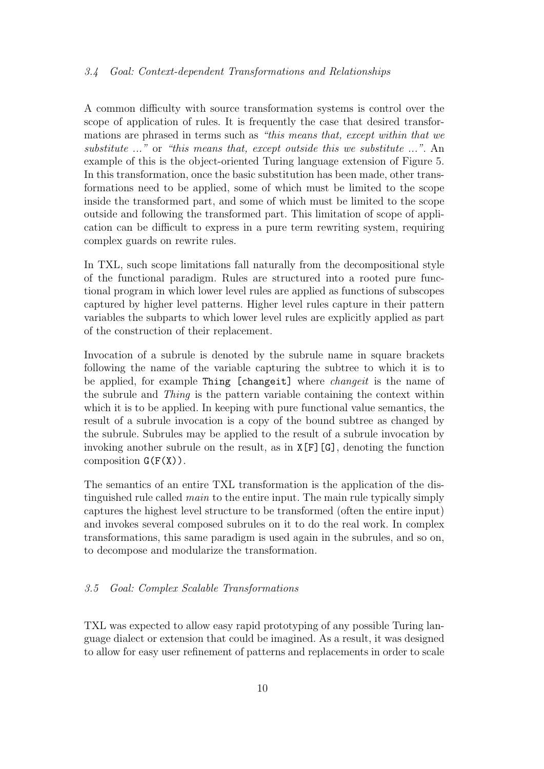#### 3.4 Goal: Context-dependent Transformations and Relationships

A common difficulty with source transformation systems is control over the scope of application of rules. It is frequently the case that desired transformations are phrased in terms such as "this means that, except within that we substitute ..." or "this means that, except outside this we substitute ...". An example of this is the object-oriented Turing language extension of Figure 5. In this transformation, once the basic substitution has been made, other transformations need to be applied, some of which must be limited to the scope inside the transformed part, and some of which must be limited to the scope outside and following the transformed part. This limitation of scope of application can be difficult to express in a pure term rewriting system, requiring complex guards on rewrite rules.

In TXL, such scope limitations fall naturally from the decompositional style of the functional paradigm. Rules are structured into a rooted pure functional program in which lower level rules are applied as functions of subscopes captured by higher level patterns. Higher level rules capture in their pattern variables the subparts to which lower level rules are explicitly applied as part of the construction of their replacement.

Invocation of a subrule is denoted by the subrule name in square brackets following the name of the variable capturing the subtree to which it is to be applied, for example Thing [changeit] where *changeit* is the name of the subrule and Thing is the pattern variable containing the context within which it is to be applied. In keeping with pure functional value semantics, the result of a subrule invocation is a copy of the bound subtree as changed by the subrule. Subrules may be applied to the result of a subrule invocation by invoking another subrule on the result, as in  $X[F][G]$ , denoting the function composition  $G(F(X))$ .

The semantics of an entire TXL transformation is the application of the distinguished rule called main to the entire input. The main rule typically simply captures the highest level structure to be transformed (often the entire input) and invokes several composed subrules on it to do the real work. In complex transformations, this same paradigm is used again in the subrules, and so on, to decompose and modularize the transformation.

# 3.5 Goal: Complex Scalable Transformations

TXL was expected to allow easy rapid prototyping of any possible Turing language dialect or extension that could be imagined. As a result, it was designed to allow for easy user refinement of patterns and replacements in order to scale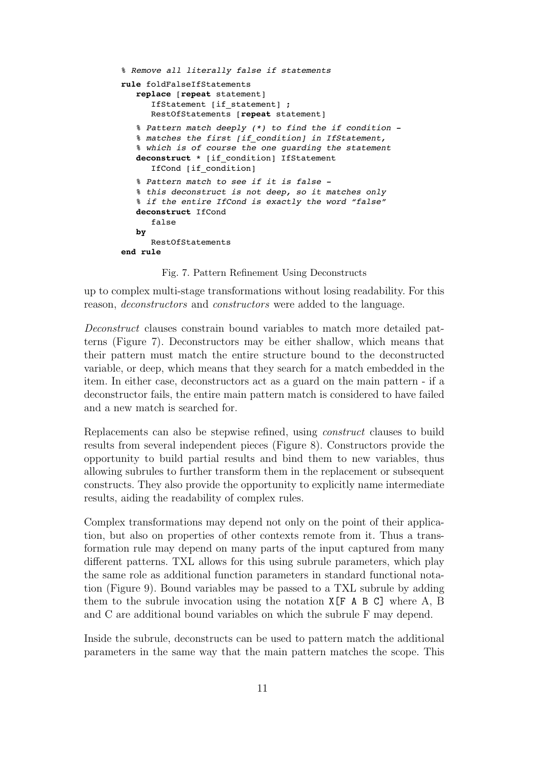```
% Remove all literally false if statements
rule foldFalseIfStatements
    replace [repeat statement]
      IfStatement [if statement] ;
       RestOfStatements [repeat statement]
   \frac{1}{2} Pattern match deeply (*) to find the if condition -
   % matches the first [if condition] in IfStatement,
    % which is of course the one guarding the statement
    deconstruct * [if_condition] IfStatement
       IfCond [if_condition]
    % Pattern match to see if it is false -
    % this deconstruct is not deep, so it matches only
    % if the entire IfCond is exactly the word "false"
    deconstruct IfCond
       false
   by
       RestOfStatements
end rule
```
Fig. 7. Pattern Refinement Using Deconstructs

up to complex multi-stage transformations without losing readability. For this reason, deconstructors and constructors were added to the language.

Deconstruct clauses constrain bound variables to match more detailed patterns (Figure 7). Deconstructors may be either shallow, which means that their pattern must match the entire structure bound to the deconstructed variable, or deep, which means that they search for a match embedded in the item. In either case, deconstructors act as a guard on the main pattern - if a deconstructor fails, the entire main pattern match is considered to have failed and a new match is searched for.

Replacements can also be stepwise refined, using construct clauses to build results from several independent pieces (Figure 8). Constructors provide the opportunity to build partial results and bind them to new variables, thus allowing subrules to further transform them in the replacement or subsequent constructs. They also provide the opportunity to explicitly name intermediate results, aiding the readability of complex rules.

Complex transformations may depend not only on the point of their application, but also on properties of other contexts remote from it. Thus a transformation rule may depend on many parts of the input captured from many different patterns. TXL allows for this using subrule parameters, which play the same role as additional function parameters in standard functional notation (Figure 9). Bound variables may be passed to a TXL subrule by adding them to the subrule invocation using the notation  $X[F \, A \, B \, C]$  where A, B and C are additional bound variables on which the subrule F may depend.

Inside the subrule, deconstructs can be used to pattern match the additional parameters in the same way that the main pattern matches the scope. This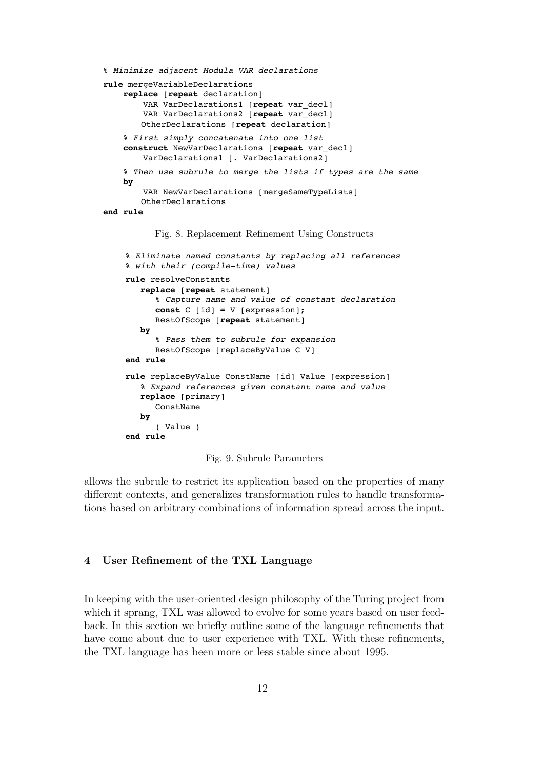```
% Minimize adjacent Modula VAR declarations
rule mergeVariableDeclarations
     replace [repeat declaration]
         VAR VarDeclarations1 [repeat var_decl]
         VAR VarDeclarations2 [repeat var_decl]
        OtherDeclarations [repeat declaration]
     % First simply concatenate into one list
     construct NewVarDeclarations [repeat var_decl]
         VarDeclarations1 [. VarDeclarations2] 
     % Then use subrule to merge the lists if types are the same
     by 
         VAR NewVarDeclarations [mergeSameTypeLists]
        OtherDeclarations
end rule
          Fig. 8. Replacement Refinement Using Constructs
    % Eliminate named constants by replacing all references
```

```
% with their (compile-time) values
rule resolveConstants
    replace [repeat statement]
       % Capture name and value of constant declaration
       const C [id] = V [expression];
       RestOfScope [repeat statement]
    by
       % Pass them to subrule for expansion
       RestOfScope [replaceByValue C V]
end rule
rule replaceByValue ConstName [id] Value [expression]
    % Expand references given constant name and value
    replace [primary]
       ConstName
    by
       ( Value )
end rule
```
Fig. 9. Subrule Parameters

allows the subrule to restrict its application based on the properties of many different contexts, and generalizes transformation rules to handle transformations based on arbitrary combinations of information spread across the input.

## 4 User Refinement of the TXL Language

In keeping with the user-oriented design philosophy of the Turing project from which it sprang, TXL was allowed to evolve for some years based on user feedback. In this section we briefly outline some of the language refinements that have come about due to user experience with TXL. With these refinements, the TXL language has been more or less stable since about 1995.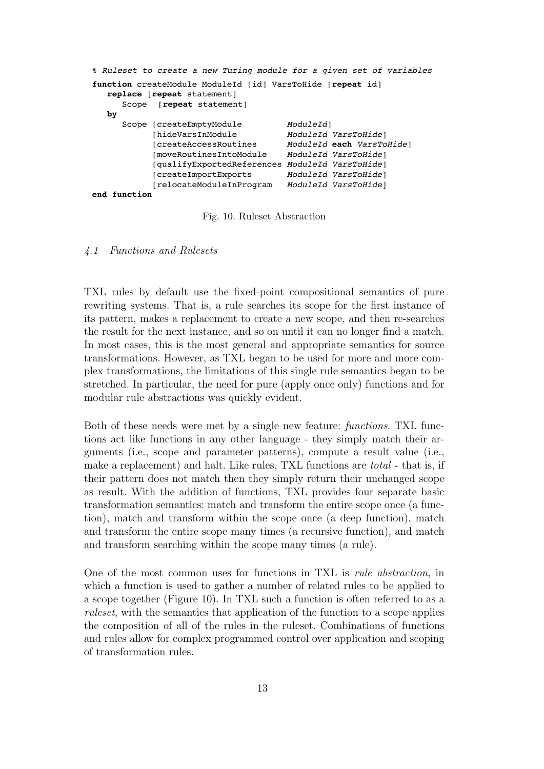```
% Ruleset to create a new Turing module for a given set of variables
function createModule ModuleId [id] VarsToHide [repeat id]
   replace [repeat statement]
       Scope [repeat statement]
   by
      Scope [createEmptyModule ModuleId]<br>[hideVarsInModule ModuleId]
                                        ModuleId VarsToHide]
             [createAccessRoutines ModuleId each VarsToHide]
            [moveRoutinesIntoModule ModuleId VarsToHide]
             [qualifyExportedReferences ModuleId VarsToHide]
            [createImportExports ModuleId VarsToHide]
             [relocateModuleInProgram ModuleId VarsToHide]
end function
```
Fig. 10. Ruleset Abstraction

#### 4.1 Functions and Rulesets

TXL rules by default use the fixed-point compositional semantics of pure rewriting systems. That is, a rule searches its scope for the first instance of its pattern, makes a replacement to create a new scope, and then re-searches the result for the next instance, and so on until it can no longer find a match. In most cases, this is the most general and appropriate semantics for source transformations. However, as TXL began to be used for more and more complex transformations, the limitations of this single rule semantics began to be stretched. In particular, the need for pure (apply once only) functions and for modular rule abstractions was quickly evident.

Both of these needs were met by a single new feature: functions. TXL functions act like functions in any other language - they simply match their arguments (i.e., scope and parameter patterns), compute a result value (i.e., make a replacement) and halt. Like rules, TXL functions are *total* - that is, if their pattern does not match then they simply return their unchanged scope as result. With the addition of functions, TXL provides four separate basic transformation semantics: match and transform the entire scope once (a function), match and transform within the scope once (a deep function), match and transform the entire scope many times (a recursive function), and match and transform searching within the scope many times (a rule).

One of the most common uses for functions in TXL is rule abstraction, in which a function is used to gather a number of related rules to be applied to a scope together (Figure 10). In TXL such a function is often referred to as a ruleset, with the semantics that application of the function to a scope applies the composition of all of the rules in the ruleset. Combinations of functions and rules allow for complex programmed control over application and scoping of transformation rules.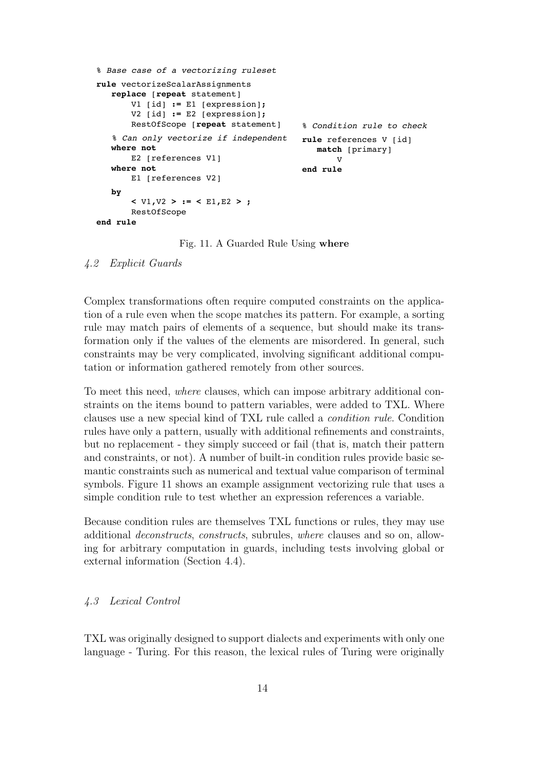```
% Base case of a vectorizing ruleset
rule vectorizeScalarAssignments
    replace [repeat statement]
        V1 [id] := E1 [expression];
        V2 [id] := E2 [expression];
        RestOfScope [repeat statement]
    % Can only vectorize if independent
    where not
        E2 [references V1]
    where not
        E1 [references V2]
    by
        < V1,V2 > := < E1,E2 > ;
        RestOfScope
end rule
                                           % Condition rule to check
                                           rule references V [id]
                                              match [primary]
                                            V
                                           end rule
```
Fig. 11. A Guarded Rule Using where

#### 4.2 Explicit Guards

Complex transformations often require computed constraints on the application of a rule even when the scope matches its pattern. For example, a sorting rule may match pairs of elements of a sequence, but should make its transformation only if the values of the elements are misordered. In general, such constraints may be very complicated, involving significant additional computation or information gathered remotely from other sources.

To meet this need, where clauses, which can impose arbitrary additional constraints on the items bound to pattern variables, were added to TXL. Where clauses use a new special kind of TXL rule called a condition rule. Condition rules have only a pattern, usually with additional refinements and constraints, but no replacement - they simply succeed or fail (that is, match their pattern and constraints, or not). A number of built-in condition rules provide basic semantic constraints such as numerical and textual value comparison of terminal symbols. Figure 11 shows an example assignment vectorizing rule that uses a simple condition rule to test whether an expression references a variable.

Because condition rules are themselves TXL functions or rules, they may use additional deconstructs, constructs, subrules, where clauses and so on, allowing for arbitrary computation in guards, including tests involving global or external information (Section 4.4).

#### 4.3 Lexical Control

TXL was originally designed to support dialects and experiments with only one language - Turing. For this reason, the lexical rules of Turing were originally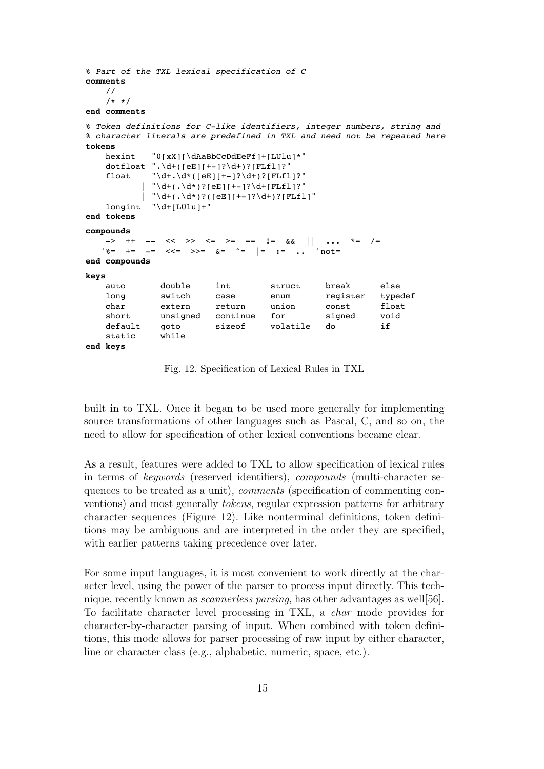```
% Part of the TXL lexical specification of C
comments
     //
     /* */
end comments
% Token definitions for C-like identifiers, integer numbers, string and 
% character literals are predefined in TXL and need not be repeated here
tokens
     hexint "0[xX][\dAaBbCcDdEeFf]+[LUlu]*"
    dotfloat "\cdot\cdot\cdot([eE][+-]?\cdot\cdot\cdot(FLfl]?"
    float "\ddot{\cdot}\ddot{\cdot}\text{[eE]}[-]-]\ddot{\cdot}\text{FLf}"\ddot\cdot\cdot\cdot\cdot|?\text{[eE][+-]}?\\d+[FLf1]?"|\n\begin{array}{c}\n\text{``\ddot{d}^{\ddagger} \ddots d^{\ddagger}}\n\text{''\ddot{d}^{\ddagger} \ddots d^{\ddagger}}\n\end{array}"\d+[LULu]+"end tokens
compounds
    -> ++ -- << >> <= >= == != & \& 0 & | ... *= /=
   '%= += -= <<= >>= &= ^= |= := .. 'not=
end compounds
keys
 auto double int struct break else
     long switch case enum register typedef
     char extern return union const float
     short unsigned continue for signed void
     default goto sizeof volatile do if
     static while
end keys
```
Fig. 12. Specification of Lexical Rules in TXL

built in to TXL. Once it began to be used more generally for implementing source transformations of other languages such as Pascal, C, and so on, the need to allow for specification of other lexical conventions became clear.

As a result, features were added to TXL to allow specification of lexical rules in terms of keywords (reserved identifiers), compounds (multi-character sequences to be treated as a unit), comments (specification of commenting conventions) and most generally tokens, regular expression patterns for arbitrary character sequences (Figure 12). Like nonterminal definitions, token definitions may be ambiguous and are interpreted in the order they are specified, with earlier patterns taking precedence over later.

For some input languages, it is most convenient to work directly at the character level, using the power of the parser to process input directly. This technique, recently known as scannerless parsing, has other advantages as well[56]. To facilitate character level processing in TXL, a char mode provides for character-by-character parsing of input. When combined with token definitions, this mode allows for parser processing of raw input by either character, line or character class (e.g., alphabetic, numeric, space, etc.).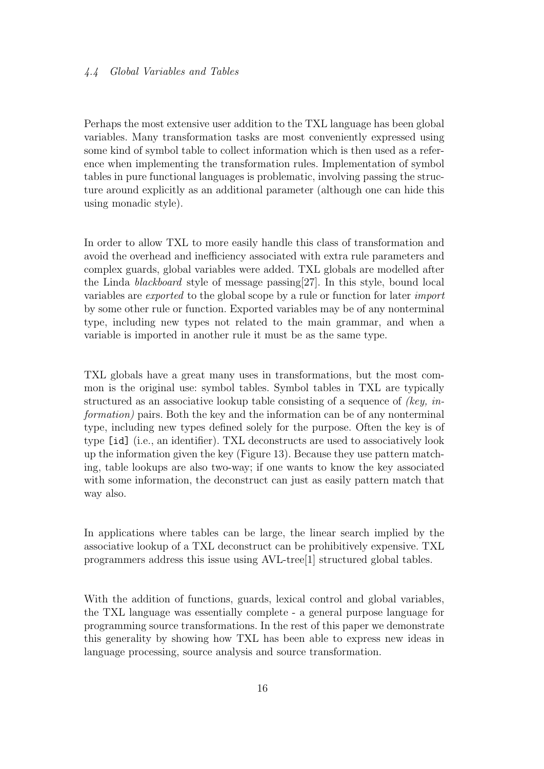## 4.4 Global Variables and Tables

Perhaps the most extensive user addition to the TXL language has been global variables. Many transformation tasks are most conveniently expressed using some kind of symbol table to collect information which is then used as a reference when implementing the transformation rules. Implementation of symbol tables in pure functional languages is problematic, involving passing the structure around explicitly as an additional parameter (although one can hide this using monadic style).

In order to allow TXL to more easily handle this class of transformation and avoid the overhead and inefficiency associated with extra rule parameters and complex guards, global variables were added. TXL globals are modelled after the Linda blackboard style of message passing[27]. In this style, bound local variables are exported to the global scope by a rule or function for later import by some other rule or function. Exported variables may be of any nonterminal type, including new types not related to the main grammar, and when a variable is imported in another rule it must be as the same type.

TXL globals have a great many uses in transformations, but the most common is the original use: symbol tables. Symbol tables in TXL are typically structured as an associative lookup table consisting of a sequence of  $(key, in-)$ formation) pairs. Both the key and the information can be of any nonterminal type, including new types defined solely for the purpose. Often the key is of type [id] (i.e., an identifier). TXL deconstructs are used to associatively look up the information given the key (Figure 13). Because they use pattern matching, table lookups are also two-way; if one wants to know the key associated with some information, the deconstruct can just as easily pattern match that way also.

In applications where tables can be large, the linear search implied by the associative lookup of a TXL deconstruct can be prohibitively expensive. TXL programmers address this issue using AVL-tree[1] structured global tables.

With the addition of functions, guards, lexical control and global variables, the TXL language was essentially complete - a general purpose language for programming source transformations. In the rest of this paper we demonstrate this generality by showing how TXL has been able to express new ideas in language processing, source analysis and source transformation.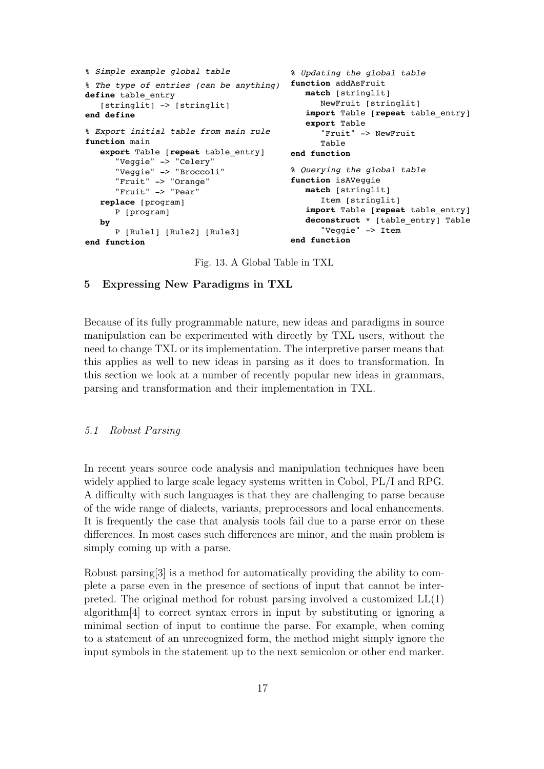```
% Simple example global table
% The type of entries (can be anything)
define table_entry
   [stringlit] -> [stringlit]
end define
% Export initial table from main rule 
function main
    export Table [repeat table_entry]
       "Veggie" -> "Celery"
       "Veggie" -> "Broccoli"
       "Fruit" -> "Orange"
       "Fruit" -> "Pear"
    replace [program]
       P [program]
    by
       P [Rule1] [Rule2] [Rule3]
end function
                                           % Updating the global table
                                           function addAsFruit
                                               match [stringlit]
                                                  NewFruit [stringlit]
                                               import Table [repeat table_entry]
                                               export Table
                                                   "Fruit" -> NewFruit
                                                   Table
                                           end function
                                           % Querying the global table
                                           function isAVeggie
                                               match [stringlit]
                                                  Item [stringlit]
                                               import Table [repeat table_entry]
                                               deconstruct * [table_entry] Table
                                                  "Veggie" -> Item
                                           end function
```
Fig. 13. A Global Table in TXL

### 5 Expressing New Paradigms in TXL

Because of its fully programmable nature, new ideas and paradigms in source manipulation can be experimented with directly by TXL users, without the need to change TXL or its implementation. The interpretive parser means that this applies as well to new ideas in parsing as it does to transformation. In this section we look at a number of recently popular new ideas in grammars, parsing and transformation and their implementation in TXL.

## 5.1 Robust Parsing

In recent years source code analysis and manipulation techniques have been widely applied to large scale legacy systems written in Cobol, PL/I and RPG. A difficulty with such languages is that they are challenging to parse because of the wide range of dialects, variants, preprocessors and local enhancements. It is frequently the case that analysis tools fail due to a parse error on these differences. In most cases such differences are minor, and the main problem is simply coming up with a parse.

Robust parsing[3] is a method for automatically providing the ability to complete a parse even in the presence of sections of input that cannot be interpreted. The original method for robust parsing involved a customized  $LL(1)$ algorithm[4] to correct syntax errors in input by substituting or ignoring a minimal section of input to continue the parse. For example, when coming to a statement of an unrecognized form, the method might simply ignore the input symbols in the statement up to the next semicolon or other end marker.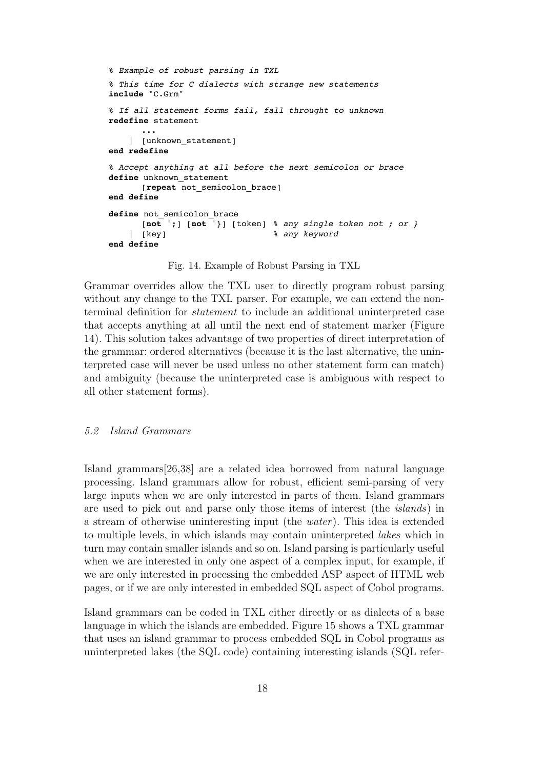```
% Example of robust parsing in TXL
% This time for C dialects with strange new statements
include "C.Grm"
% If all statement forms fail, fall throught to unknown
redefine statement
 ...
     | [unknown_statement]
end redefine
% Accept anything at all before the next semicolon or brace
define unknown_statement
      [repeat not_semicolon_brace]
end define
define not_semicolon_brace
      [not ';] [not '}] [token] % any single token not ; or }
      | [key] % any keyword
end define
```
Fig. 14. Example of Robust Parsing in TXL

Grammar overrides allow the TXL user to directly program robust parsing without any change to the TXL parser. For example, we can extend the nonterminal definition for statement to include an additional uninterpreted case that accepts anything at all until the next end of statement marker (Figure 14). This solution takes advantage of two properties of direct interpretation of the grammar: ordered alternatives (because it is the last alternative, the uninterpreted case will never be used unless no other statement form can match) and ambiguity (because the uninterpreted case is ambiguous with respect to all other statement forms).

## 5.2 Island Grammars

Island grammars[26,38] are a related idea borrowed from natural language processing. Island grammars allow for robust, efficient semi-parsing of very large inputs when we are only interested in parts of them. Island grammars are used to pick out and parse only those items of interest (the islands) in a stream of otherwise uninteresting input (the *water*). This idea is extended to multiple levels, in which islands may contain uninterpreted lakes which in turn may contain smaller islands and so on. Island parsing is particularly useful when we are interested in only one aspect of a complex input, for example, if we are only interested in processing the embedded ASP aspect of HTML web pages, or if we are only interested in embedded SQL aspect of Cobol programs.

Island grammars can be coded in TXL either directly or as dialects of a base language in which the islands are embedded. Figure 15 shows a TXL grammar that uses an island grammar to process embedded SQL in Cobol programs as uninterpreted lakes (the SQL code) containing interesting islands (SQL refer-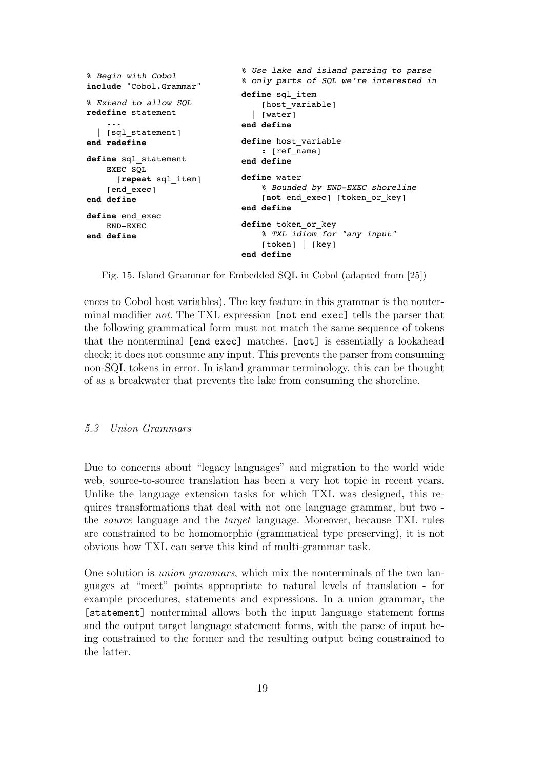```
% Begin with Cobol
include "Cobol.Grammar"
% Extend to allow SQL
redefine statement
     ...
   [sql statement]
end redefine
define sql_statement
     EXEC SQL
       [repeat sql_item]
    [end_exec]
end define
define end_exec
     END-EXEC
end define
                                % Use lake and island parsing to parse
                                % only parts of SQL we're interested in
                                define sql_item
                                    [host variable]
                                    | [water]
                                end define
                                define host_variable
                                    : [ref name]
                                end define
                                define water 
                                     % Bounded by END-EXEC shoreline
                                    [not end exec] [token or key]
                                end define
                                define token_or_key 
                                     % TXL idiom for "any input"
                                     [token] | [key] 
                                end define
```
Fig. 15. Island Grammar for Embedded SQL in Cobol (adapted from [25])

ences to Cobol host variables). The key feature in this grammar is the nonterminal modifier not. The TXL expression [not end exec] tells the parser that the following grammatical form must not match the same sequence of tokens that the nonterminal [end exec] matches. [not] is essentially a lookahead check; it does not consume any input. This prevents the parser from consuming non-SQL tokens in error. In island grammar terminology, this can be thought of as a breakwater that prevents the lake from consuming the shoreline.

#### 5.3 Union Grammars

Due to concerns about "legacy languages" and migration to the world wide web, source-to-source translation has been a very hot topic in recent years. Unlike the language extension tasks for which TXL was designed, this requires transformations that deal with not one language grammar, but two the source language and the target language. Moreover, because TXL rules are constrained to be homomorphic (grammatical type preserving), it is not obvious how TXL can serve this kind of multi-grammar task.

One solution is union grammars, which mix the nonterminals of the two languages at "meet" points appropriate to natural levels of translation - for example procedures, statements and expressions. In a union grammar, the [statement] nonterminal allows both the input language statement forms and the output target language statement forms, with the parse of input being constrained to the former and the resulting output being constrained to the latter.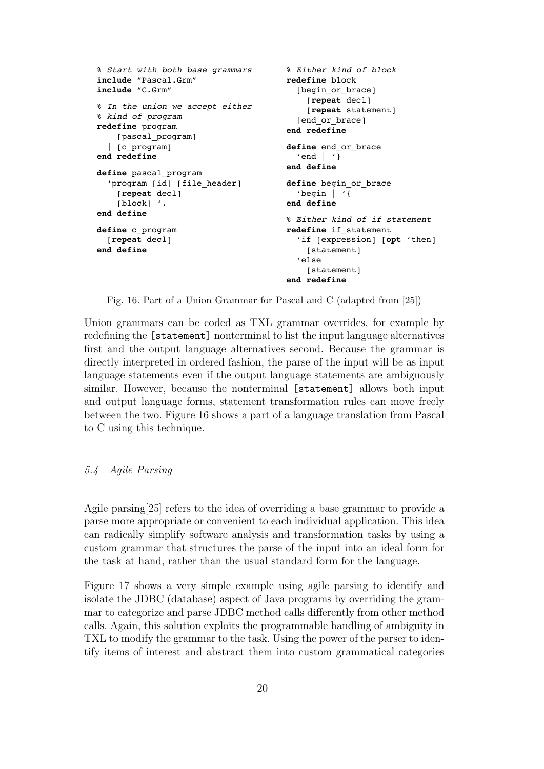```
% Start with both base grammars
include "Pascal.Grm"
include "C.Grm"
% In the union we accept either
% kind of program
redefine program
    [pascal program]
   | [c_program]
end redefine
define pascal_program
  'program [id] [file header]
     [repeat decl]
     [block] '.
end define
define c_program
   [repeat decl]
end define
                                       % Either kind of block
                                       redefine block
                                         [begin or brace]
                                            [repeat decl]
                                            [repeat statement]
                                         [end or brace]
                                       end redefine
                                       define end_or_brace
                                          'end | 'end define
                                       define begin_or_brace
                                           'begin | '{
                                       end define
                                       % Either kind of if statement
                                       redefine if_statement
                                           'if [expression] [opt 'then]
                                             [statement]
                                           'else
                                            [statement]
                                       end redefine
```
Fig. 16. Part of a Union Grammar for Pascal and C (adapted from [25])

Union grammars can be coded as TXL grammar overrides, for example by redefining the [statement] nonterminal to list the input language alternatives first and the output language alternatives second. Because the grammar is directly interpreted in ordered fashion, the parse of the input will be as input language statements even if the output language statements are ambiguously similar. However, because the nonterminal [statement] allows both input and output language forms, statement transformation rules can move freely between the two. Figure 16 shows a part of a language translation from Pascal to C using this technique.

5.4 Agile Parsing

Agile parsing[25] refers to the idea of overriding a base grammar to provide a parse more appropriate or convenient to each individual application. This idea can radically simplify software analysis and transformation tasks by using a custom grammar that structures the parse of the input into an ideal form for the task at hand, rather than the usual standard form for the language.

Figure 17 shows a very simple example using agile parsing to identify and isolate the JDBC (database) aspect of Java programs by overriding the grammar to categorize and parse JDBC method calls differently from other method calls. Again, this solution exploits the programmable handling of ambiguity in TXL to modify the grammar to the task. Using the power of the parser to identify items of interest and abstract them into custom grammatical categories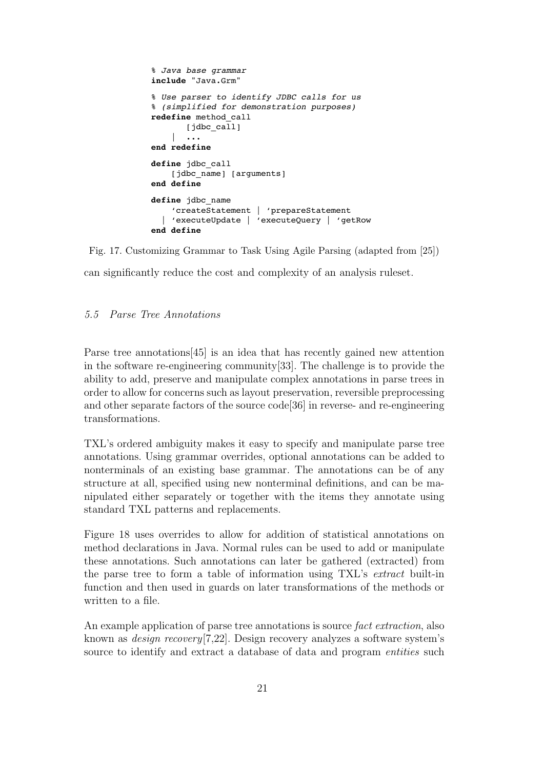```
% Java base grammar
include "Java.Grm"
% Use parser to identify JDBC calls for us
% (simplified for demonstration purposes)
redefine method_call
       [jdbc_call]
     | ...
end redefine
define jdbc_call
    [jdbc_name] [arguments]
end define
define jdbc_name
     'createStatement | 'prepareStatement
    | 'executeUpdate | 'executeQuery | 'getRow
end define
```
Fig. 17. Customizing Grammar to Task Using Agile Parsing (adapted from [25]) can significantly reduce the cost and complexity of an analysis ruleset.

# 5.5 Parse Tree Annotations

Parse tree annotations[45] is an idea that has recently gained new attention in the software re-engineering community[33]. The challenge is to provide the ability to add, preserve and manipulate complex annotations in parse trees in order to allow for concerns such as layout preservation, reversible preprocessing and other separate factors of the source code[36] in reverse- and re-engineering transformations.

TXL's ordered ambiguity makes it easy to specify and manipulate parse tree annotations. Using grammar overrides, optional annotations can be added to nonterminals of an existing base grammar. The annotations can be of any structure at all, specified using new nonterminal definitions, and can be manipulated either separately or together with the items they annotate using standard TXL patterns and replacements.

Figure 18 uses overrides to allow for addition of statistical annotations on method declarations in Java. Normal rules can be used to add or manipulate these annotations. Such annotations can later be gathered (extracted) from the parse tree to form a table of information using TXL's extract built-in function and then used in guards on later transformations of the methods or written to a file.

An example application of parse tree annotations is source fact extraction, also known as design recovery[7,22]. Design recovery analyzes a software system's source to identify and extract a database of data and program *entities* such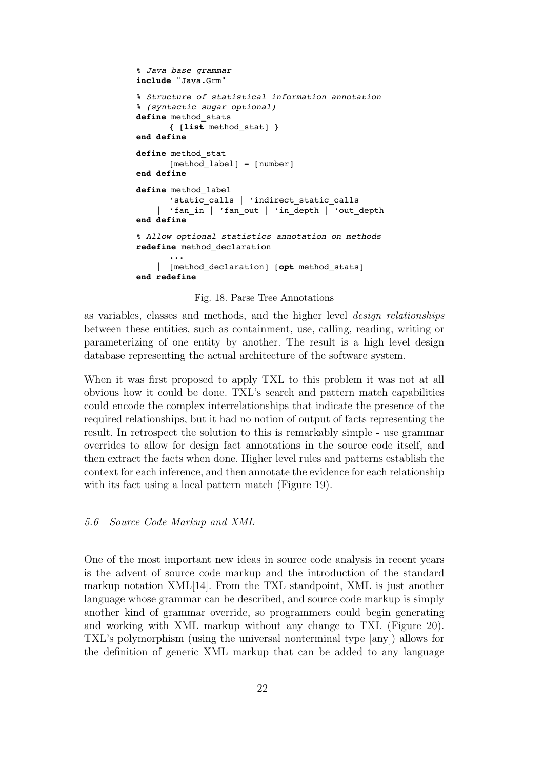```
% Java base grammar
include "Java.Grm"
% Structure of statistical information annotation
% (syntactic sugar optional)
define method_stats
      { [list method_stat] }
end define
define method_stat
      [method label] = [number]
end define
define method_label
       'static_calls | 'indirect_static_calls
      'fan in | 'fan out | 'in depth | 'out depth
end define
% Allow optional statistics annotation on methods
redefine method_declaration
       ...
       | [method_declaration] [opt method_stats]
end redefine
```
#### Fig. 18. Parse Tree Annotations

as variables, classes and methods, and the higher level design relationships between these entities, such as containment, use, calling, reading, writing or parameterizing of one entity by another. The result is a high level design database representing the actual architecture of the software system.

When it was first proposed to apply TXL to this problem it was not at all obvious how it could be done. TXL's search and pattern match capabilities could encode the complex interrelationships that indicate the presence of the required relationships, but it had no notion of output of facts representing the result. In retrospect the solution to this is remarkably simple - use grammar overrides to allow for design fact annotations in the source code itself, and then extract the facts when done. Higher level rules and patterns establish the context for each inference, and then annotate the evidence for each relationship with its fact using a local pattern match (Figure 19).

5.6 Source Code Markup and XML

One of the most important new ideas in source code analysis in recent years is the advent of source code markup and the introduction of the standard markup notation XML[14]. From the TXL standpoint, XML is just another language whose grammar can be described, and source code markup is simply another kind of grammar override, so programmers could begin generating and working with XML markup without any change to TXL (Figure 20). TXL's polymorphism (using the universal nonterminal type [any]) allows for the definition of generic XML markup that can be added to any language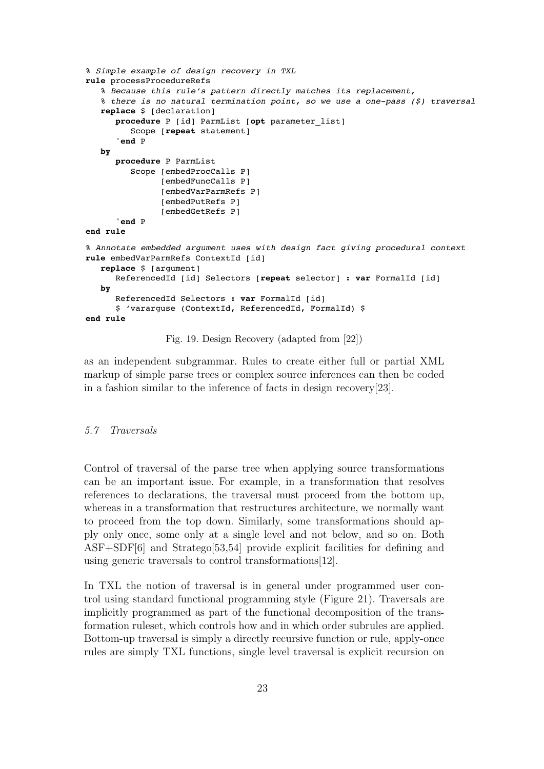```
% Simple example of design recovery in TXL
rule processProcedureRefs
    % Because this rule's pattern directly matches its replacement, 
    % there is no natural termination point, so we use a one-pass ($) traversal
    replace $ [declaration]
       procedure P [id] ParmList [opt parameter_list]
          Scope [repeat statement]
       'end P
    by
       procedure P ParmList
          Scope [embedProcCalls P]
                [embedFuncCalls P]
                [embedVarParmRefs P]
                [embedPutRefs P]
                [embedGetRefs P]
       'end P
end rule
% Annotate embedded argument uses with design fact giving procedural context
rule embedVarParmRefs ContextId [id]
    replace $ [argument]
       ReferencedId [id] Selectors [repeat selector] : var FormalId [id]
    by
       ReferencedId Selectors : var FormalId [id]
       $ 'vararguse (ContextId, ReferencedId, FormalId) $ 
end rule
```
Fig. 19. Design Recovery (adapted from [22])

as an independent subgrammar. Rules to create either full or partial XML markup of simple parse trees or complex source inferences can then be coded in a fashion similar to the inference of facts in design recovery[23].

# 5.7 Traversals

Control of traversal of the parse tree when applying source transformations can be an important issue. For example, in a transformation that resolves references to declarations, the traversal must proceed from the bottom up, whereas in a transformation that restructures architecture, we normally want to proceed from the top down. Similarly, some transformations should apply only once, some only at a single level and not below, and so on. Both ASF+SDF[6] and Stratego[53,54] provide explicit facilities for defining and using generic traversals to control transformations[12].

In TXL the notion of traversal is in general under programmed user control using standard functional programming style (Figure 21). Traversals are implicitly programmed as part of the functional decomposition of the transformation ruleset, which controls how and in which order subrules are applied. Bottom-up traversal is simply a directly recursive function or rule, apply-once rules are simply TXL functions, single level traversal is explicit recursion on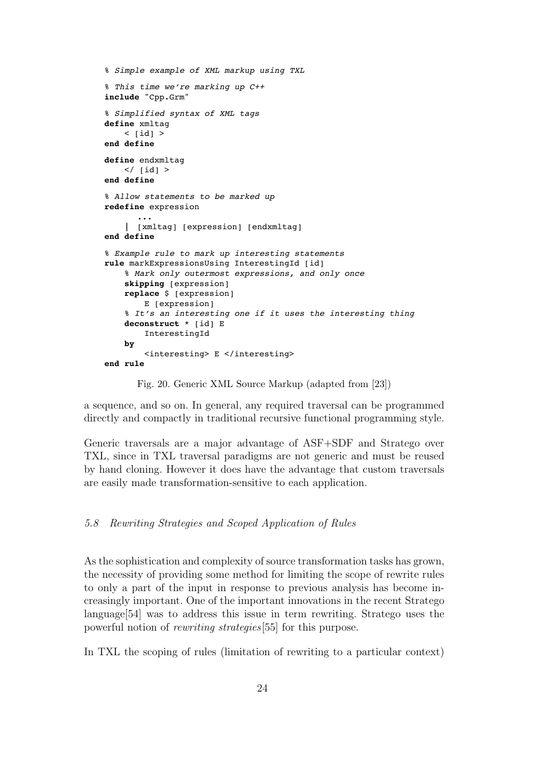```
% Simple example of XML markup using TXL
% This time we're marking up C++
include "Cpp.Grm"
% Simplified syntax of XML tags
define xmltag
    \langle [id] \rangleend define
define endxmltag
    \langle [id] >
end define
% Allow statements to be marked up
redefine expression
       ...
     | [xmltag] [expression] [endxmltag]
end define
% Example rule to mark up interesting statements
rule markExpressionsUsing InterestingId [id]
     % Mark only outermost expressions, and only once
     skipping [expression]
     replace $ [expression]
         E [expression]
     % It's an interesting one if it uses the interesting thing
     deconstruct * [id] E
         InterestingId
     by
         <interesting> E </interesting>
end rule
```
Fig. 20. Generic XML Source Markup (adapted from [23])

a sequence, and so on. In general, any required traversal can be programmed directly and compactly in traditional recursive functional programming style.

Generic traversals are a major advantage of ASF+SDF and Stratego over TXL, since in TXL traversal paradigms are not generic and must be reused by hand cloning. However it does have the advantage that custom traversals are easily made transformation-sensitive to each application.

## 5.8 Rewriting Strategies and Scoped Application of Rules

As the sophistication and complexity of source transformation tasks has grown, the necessity of providing some method for limiting the scope of rewrite rules to only a part of the input in response to previous analysis has become increasingly important. One of the important innovations in the recent Stratego language[54] was to address this issue in term rewriting. Stratego uses the powerful notion of rewriting strategies[55] for this purpose.

In TXL the scoping of rules (limitation of rewriting to a particular context)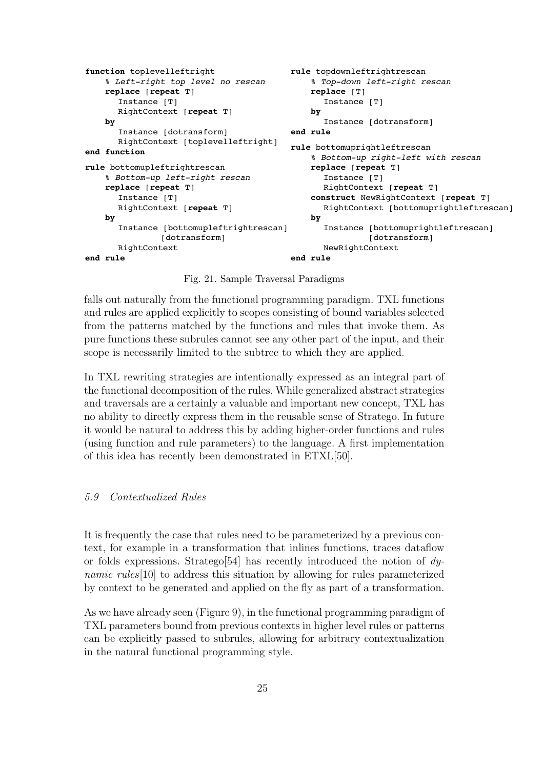```
rule topdownleftrightrescan
                                                % Top-down left-right rescan
                                                replace [T]
                                                 Instance [T]
                                                by
                                                 Instance [dotransform]
                                          end rule
                                          rule bottomuprightleftrescan
                                                % Bottom-up right-left with rescan
                                                replace [repeat T]
                                                 Instance [T]
                                                 RightContext [repeat T]
                                                construct NewRightContext [repeat T]
                                                 RightContext [bottomuprightleftrescan]
                                                by
                                                 Instance [bottomuprightleftrescan]
                                                           [dotransform]
                                                 NewRightContext
                                          end rule
function toplevelleftright
     % Left-right top level no rescan
     replace [repeat T]
      Instance [T]
      RightContext [repeat T]
     by
       Instance [dotransform]
      RightContext [toplevelleftright]
end function
rule bottomupleftrightrescan
     % Bottom-up left-right rescan
     replace [repeat T]
      Instance [T]
      RightContext [repeat T]
     by
      Instance [bottomupleftrightrescan]
               [dotransform]
      RightContext
end rule
```
Fig. 21. Sample Traversal Paradigms

falls out naturally from the functional programming paradigm. TXL functions and rules are applied explicitly to scopes consisting of bound variables selected from the patterns matched by the functions and rules that invoke them. As pure functions these subrules cannot see any other part of the input, and their scope is necessarily limited to the subtree to which they are applied.

In TXL rewriting strategies are intentionally expressed as an integral part of the functional decomposition of the rules. While generalized abstract strategies and traversals are a certainly a valuable and important new concept, TXL has no ability to directly express them in the reusable sense of Stratego. In future it would be natural to address this by adding higher-order functions and rules (using function and rule parameters) to the language. A first implementation of this idea has recently been demonstrated in ETXL[50].

# 5.9 Contextualized Rules

It is frequently the case that rules need to be parameterized by a previous context, for example in a transformation that inlines functions, traces dataflow or folds expressions. Stratego [54] has recently introduced the notion of  $dy$ namic rules [10] to address this situation by allowing for rules parameterized by context to be generated and applied on the fly as part of a transformation.

As we have already seen (Figure 9), in the functional programming paradigm of TXL parameters bound from previous contexts in higher level rules or patterns can be explicitly passed to subrules, allowing for arbitrary contextualization in the natural functional programming style.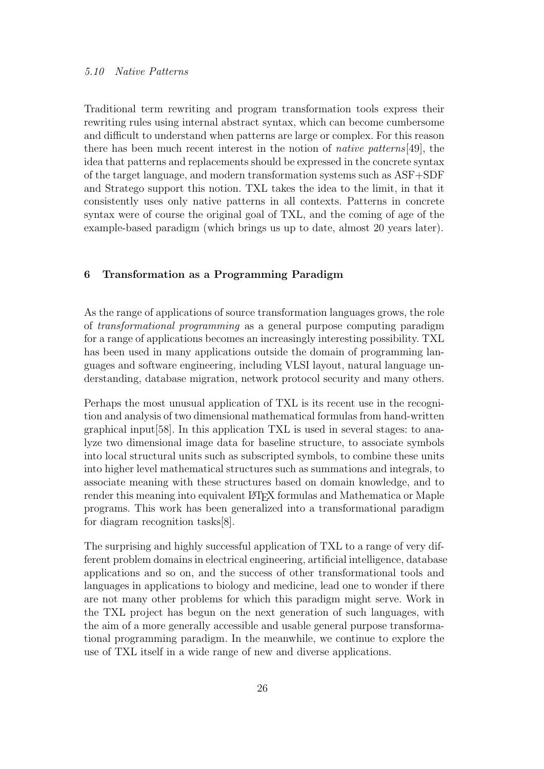#### 5.10 Native Patterns

Traditional term rewriting and program transformation tools express their rewriting rules using internal abstract syntax, which can become cumbersome and difficult to understand when patterns are large or complex. For this reason there has been much recent interest in the notion of native patterns[49], the idea that patterns and replacements should be expressed in the concrete syntax of the target language, and modern transformation systems such as ASF+SDF and Stratego support this notion. TXL takes the idea to the limit, in that it consistently uses only native patterns in all contexts. Patterns in concrete syntax were of course the original goal of TXL, and the coming of age of the example-based paradigm (which brings us up to date, almost 20 years later).

# 6 Transformation as a Programming Paradigm

As the range of applications of source transformation languages grows, the role of transformational programming as a general purpose computing paradigm for a range of applications becomes an increasingly interesting possibility. TXL has been used in many applications outside the domain of programming languages and software engineering, including VLSI layout, natural language understanding, database migration, network protocol security and many others.

Perhaps the most unusual application of TXL is its recent use in the recognition and analysis of two dimensional mathematical formulas from hand-written graphical input[58]. In this application TXL is used in several stages: to analyze two dimensional image data for baseline structure, to associate symbols into local structural units such as subscripted symbols, to combine these units into higher level mathematical structures such as summations and integrals, to associate meaning with these structures based on domain knowledge, and to render this meaning into equivalent LAT<sub>EX</sub> formulas and Mathematica or Maple programs. This work has been generalized into a transformational paradigm for diagram recognition tasks[8].

The surprising and highly successful application of TXL to a range of very different problem domains in electrical engineering, artificial intelligence, database applications and so on, and the success of other transformational tools and languages in applications to biology and medicine, lead one to wonder if there are not many other problems for which this paradigm might serve. Work in the TXL project has begun on the next generation of such languages, with the aim of a more generally accessible and usable general purpose transformational programming paradigm. In the meanwhile, we continue to explore the use of TXL itself in a wide range of new and diverse applications.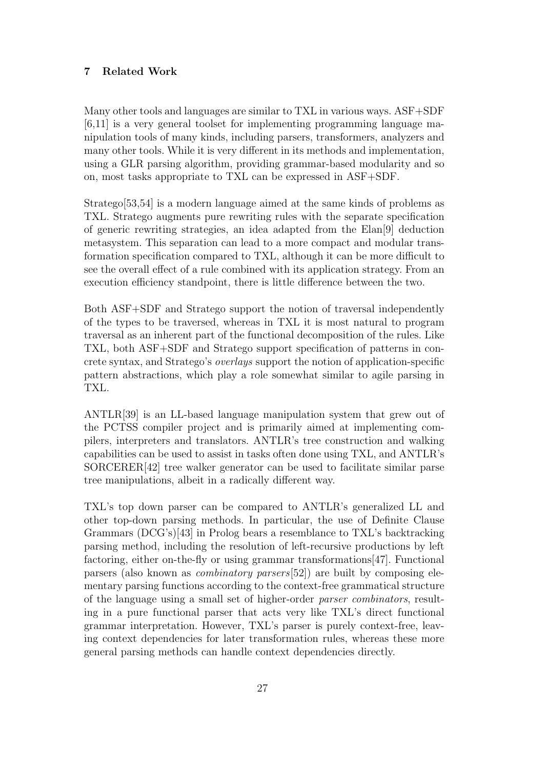## 7 Related Work

Many other tools and languages are similar to TXL in various ways. ASF+SDF [6,11] is a very general toolset for implementing programming language manipulation tools of many kinds, including parsers, transformers, analyzers and many other tools. While it is very different in its methods and implementation, using a GLR parsing algorithm, providing grammar-based modularity and so on, most tasks appropriate to TXL can be expressed in ASF+SDF.

Stratego[53,54] is a modern language aimed at the same kinds of problems as TXL. Stratego augments pure rewriting rules with the separate specification of generic rewriting strategies, an idea adapted from the Elan[9] deduction metasystem. This separation can lead to a more compact and modular transformation specification compared to TXL, although it can be more difficult to see the overall effect of a rule combined with its application strategy. From an execution efficiency standpoint, there is little difference between the two.

Both ASF+SDF and Stratego support the notion of traversal independently of the types to be traversed, whereas in TXL it is most natural to program traversal as an inherent part of the functional decomposition of the rules. Like TXL, both ASF+SDF and Stratego support specification of patterns in concrete syntax, and Stratego's overlays support the notion of application-specific pattern abstractions, which play a role somewhat similar to agile parsing in TXL.

ANTLR[39] is an LL-based language manipulation system that grew out of the PCTSS compiler project and is primarily aimed at implementing compilers, interpreters and translators. ANTLR's tree construction and walking capabilities can be used to assist in tasks often done using TXL, and ANTLR's SORCERER[42] tree walker generator can be used to facilitate similar parse tree manipulations, albeit in a radically different way.

TXL's top down parser can be compared to ANTLR's generalized LL and other top-down parsing methods. In particular, the use of Definite Clause Grammars (DCG's)[43] in Prolog bears a resemblance to TXL's backtracking parsing method, including the resolution of left-recursive productions by left factoring, either on-the-fly or using grammar transformations[47]. Functional parsers (also known as combinatory parsers[52]) are built by composing elementary parsing functions according to the context-free grammatical structure of the language using a small set of higher-order parser combinators, resulting in a pure functional parser that acts very like TXL's direct functional grammar interpretation. However, TXL's parser is purely context-free, leaving context dependencies for later transformation rules, whereas these more general parsing methods can handle context dependencies directly.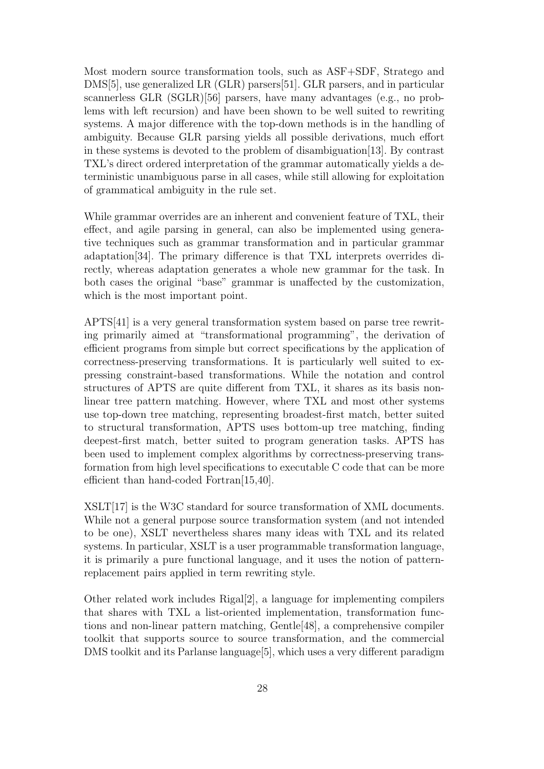Most modern source transformation tools, such as ASF+SDF, Stratego and DMS[5], use generalized LR (GLR) parsers[51]. GLR parsers, and in particular scannerless GLR (SGLR)[56] parsers, have many advantages (e.g., no problems with left recursion) and have been shown to be well suited to rewriting systems. A major difference with the top-down methods is in the handling of ambiguity. Because GLR parsing yields all possible derivations, much effort in these systems is devoted to the problem of disambiguation[13]. By contrast TXL's direct ordered interpretation of the grammar automatically yields a deterministic unambiguous parse in all cases, while still allowing for exploitation of grammatical ambiguity in the rule set.

While grammar overrides are an inherent and convenient feature of TXL, their effect, and agile parsing in general, can also be implemented using generative techniques such as grammar transformation and in particular grammar adaptation[34]. The primary difference is that TXL interprets overrides directly, whereas adaptation generates a whole new grammar for the task. In both cases the original "base" grammar is unaffected by the customization, which is the most important point.

APTS[41] is a very general transformation system based on parse tree rewriting primarily aimed at "transformational programming", the derivation of efficient programs from simple but correct specifications by the application of correctness-preserving transformations. It is particularly well suited to expressing constraint-based transformations. While the notation and control structures of APTS are quite different from TXL, it shares as its basis nonlinear tree pattern matching. However, where TXL and most other systems use top-down tree matching, representing broadest-first match, better suited to structural transformation, APTS uses bottom-up tree matching, finding deepest-first match, better suited to program generation tasks. APTS has been used to implement complex algorithms by correctness-preserving transformation from high level specifications to executable C code that can be more efficient than hand-coded Fortran[15,40].

XSLT[17] is the W3C standard for source transformation of XML documents. While not a general purpose source transformation system (and not intended to be one), XSLT nevertheless shares many ideas with TXL and its related systems. In particular, XSLT is a user programmable transformation language, it is primarily a pure functional language, and it uses the notion of patternreplacement pairs applied in term rewriting style.

Other related work includes Rigal[2], a language for implementing compilers that shares with TXL a list-oriented implementation, transformation functions and non-linear pattern matching, Gentle[48], a comprehensive compiler toolkit that supports source to source transformation, and the commercial DMS toolkit and its Parlanse language[5], which uses a very different paradigm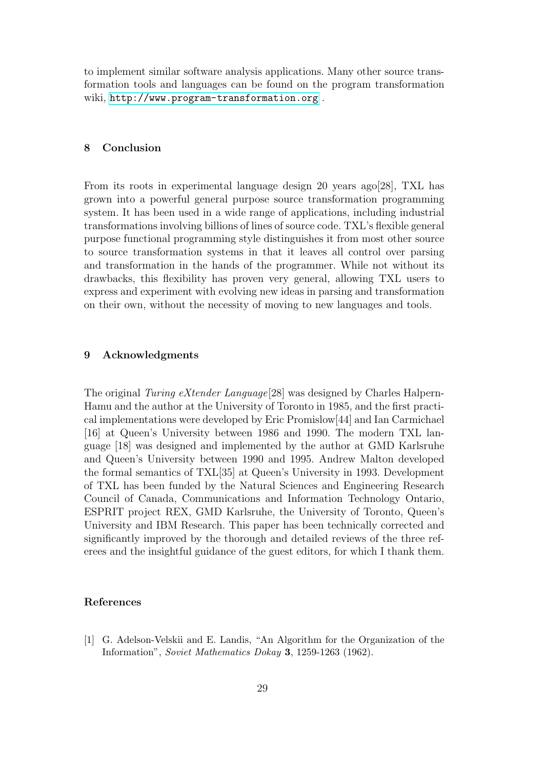to implement similar software analysis applications. Many other source transformation tools and languages can be found on the program transformation wiki, <http://www.program-transformation.org> .

#### 8 Conclusion

From its roots in experimental language design 20 years ago[28], TXL has grown into a powerful general purpose source transformation programming system. It has been used in a wide range of applications, including industrial transformations involving billions of lines of source code. TXL's flexible general purpose functional programming style distinguishes it from most other source to source transformation systems in that it leaves all control over parsing and transformation in the hands of the programmer. While not without its drawbacks, this flexibility has proven very general, allowing TXL users to express and experiment with evolving new ideas in parsing and transformation on their own, without the necessity of moving to new languages and tools.

#### 9 Acknowledgments

The original Turing eXtender Language<sup>[28]</sup> was designed by Charles Halpern-Hamu and the author at the University of Toronto in 1985, and the first practical implementations were developed by Eric Promislow[44] and Ian Carmichael [16] at Queen's University between 1986 and 1990. The modern TXL language [18] was designed and implemented by the author at GMD Karlsruhe and Queen's University between 1990 and 1995. Andrew Malton developed the formal semantics of TXL[35] at Queen's University in 1993. Development of TXL has been funded by the Natural Sciences and Engineering Research Council of Canada, Communications and Information Technology Ontario, ESPRIT project REX, GMD Karlsruhe, the University of Toronto, Queen's University and IBM Research. This paper has been technically corrected and significantly improved by the thorough and detailed reviews of the three referees and the insightful guidance of the guest editors, for which I thank them.

## References

[1] G. Adelson-Velskii and E. Landis, "An Algorithm for the Organization of the Information", Soviet Mathematics Dokay 3, 1259-1263 (1962).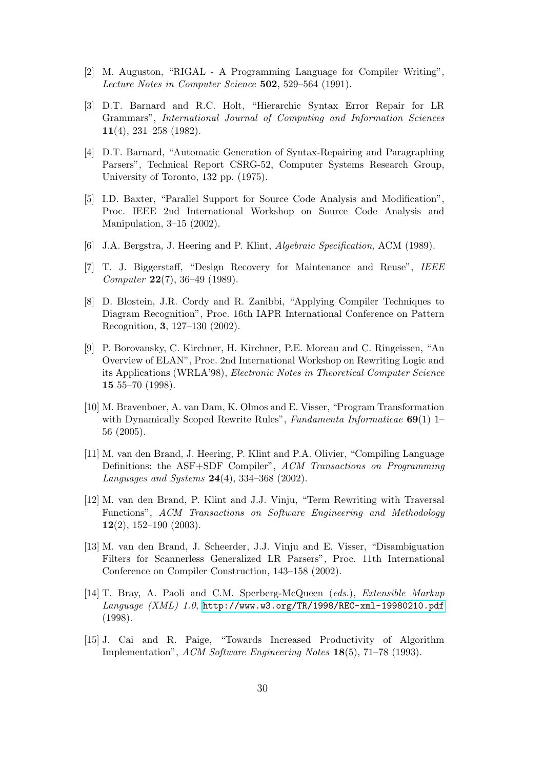- [2] M. Auguston, "RIGAL A Programming Language for Compiler Writing", Lecture Notes in Computer Science 502, 529–564 (1991).
- [3] D.T. Barnard and R.C. Holt, "Hierarchic Syntax Error Repair for LR Grammars", International Journal of Computing and Information Sciences 11(4), 231–258 (1982).
- [4] D.T. Barnard, "Automatic Generation of Syntax-Repairing and Paragraphing Parsers", Technical Report CSRG-52, Computer Systems Research Group, University of Toronto, 132 pp. (1975).
- [5] I.D. Baxter, "Parallel Support for Source Code Analysis and Modification", Proc. IEEE 2nd International Workshop on Source Code Analysis and Manipulation, 3–15 (2002).
- [6] J.A. Bergstra, J. Heering and P. Klint, Algebraic Specification, ACM (1989).
- [7] T. J. Biggerstaff, "Design Recovery for Maintenance and Reuse", IEEE Computer 22(7), 36–49 (1989).
- [8] D. Blostein, J.R. Cordy and R. Zanibbi, "Applying Compiler Techniques to Diagram Recognition", Proc. 16th IAPR International Conference on Pattern Recognition, 3, 127–130 (2002).
- [9] P. Borovansky, C. Kirchner, H. Kirchner, P.E. Moreau and C. Ringeissen, "An Overview of ELAN", Proc. 2nd International Workshop on Rewriting Logic and its Applications (WRLA'98), Electronic Notes in Theoretical Computer Science 15 55–70 (1998).
- [10] M. Bravenboer, A. van Dam, K. Olmos and E. Visser, "Program Transformation with Dynamically Scoped Rewrite Rules", Fundamenta Informaticae 69(1) 1– 56 (2005).
- [11] M. van den Brand, J. Heering, P. Klint and P.A. Olivier, "Compiling Language Definitions: the ASF+SDF Compiler", ACM Transactions on Programming Languages and Systems  $24(4)$ , 334-368 (2002).
- [12] M. van den Brand, P. Klint and J.J. Vinju, "Term Rewriting with Traversal Functions", ACM Transactions on Software Engineering and Methodology  $12(2)$ , 152–190 (2003).
- [13] M. van den Brand, J. Scheerder, J.J. Vinju and E. Visser, "Disambiguation Filters for Scannerless Generalized LR Parsers", Proc. 11th International Conference on Compiler Construction, 143–158 (2002).
- [14] T. Bray, A. Paoli and C.M. Sperberg-McQueen (eds.), Extensible Markup Language (XML) 1.0, <http://www.w3.org/TR/1998/REC-xml-19980210.pdf> (1998).
- [15] J. Cai and R. Paige, "Towards Increased Productivity of Algorithm Implementation", ACM Software Engineering Notes 18(5), 71–78 (1993).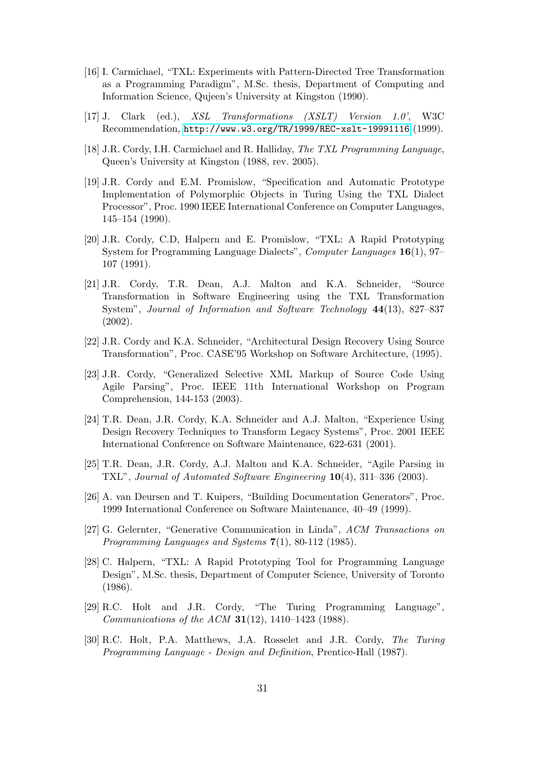- [16] I. Carmichael, "TXL: Experiments with Pattern-Directed Tree Transformation as a Programming Paradigm", M.Sc. thesis, Department of Computing and Information Science, Qujeen's University at Kingston (1990).
- [17] J. Clark (ed.), XSL Transformations (XSLT) Version 1.0', W3C Recommendation, <http://www.w3.org/TR/1999/REC-xslt-19991116> (1999).
- [18] J.R. Cordy, I.H. Carmichael and R. Halliday, The TXL Programming Language, Queen's University at Kingston (1988, rev. 2005).
- [19] J.R. Cordy and E.M. Promislow, "Specification and Automatic Prototype Implementation of Polymorphic Objects in Turing Using the TXL Dialect Processor", Proc. 1990 IEEE International Conference on Computer Languages, 145–154 (1990).
- [20] J.R. Cordy, C.D, Halpern and E. Promislow, "TXL: A Rapid Prototyping System for Programming Language Dialects", Computer Languages 16(1), 97– 107 (1991).
- [21] J.R. Cordy, T.R. Dean, A.J. Malton and K.A. Schneider, "Source Transformation in Software Engineering using the TXL Transformation System", Journal of Information and Software Technology 44(13), 827–837 (2002).
- [22] J.R. Cordy and K.A. Schneider, "Architectural Design Recovery Using Source Transformation", Proc. CASE'95 Workshop on Software Architecture, (1995).
- [23] J.R. Cordy, "Generalized Selective XML Markup of Source Code Using Agile Parsing", Proc. IEEE 11th International Workshop on Program Comprehension, 144-153 (2003).
- [24] T.R. Dean, J.R. Cordy, K.A. Schneider and A.J. Malton, "Experience Using Design Recovery Techniques to Transform Legacy Systems", Proc. 2001 IEEE International Conference on Software Maintenance, 622-631 (2001).
- [25] T.R. Dean, J.R. Cordy, A.J. Malton and K.A. Schneider, "Agile Parsing in TXL", Journal of Automated Software Engineering 10(4), 311–336 (2003).
- [26] A. van Deursen and T. Kuipers, "Building Documentation Generators", Proc. 1999 International Conference on Software Maintenance, 40–49 (1999).
- [27] G. Gelernter, "Generative Communication in Linda", ACM Transactions on Programming Languages and Systems 7(1), 80-112 (1985).
- [28] C. Halpern, "TXL: A Rapid Prototyping Tool for Programming Language Design", M.Sc. thesis, Department of Computer Science, University of Toronto (1986).
- [29] R.C. Holt and J.R. Cordy, "The Turing Programming Language", *Communications of the ACM* **31**(12), 1410–1423 (1988).
- [30] R.C. Holt, P.A. Matthews, J.A. Rosselet and J.R. Cordy, The Turing Programming Language - Design and Definition, Prentice-Hall (1987).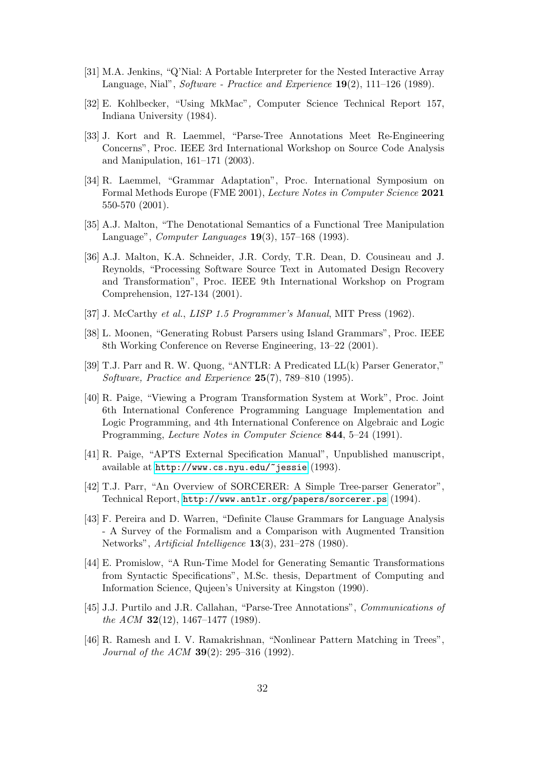- [31] M.A. Jenkins, "Q'Nial: A Portable Interpreter for the Nested Interactive Array Language, Nial", Software - Practice and Experience  $19(2)$ ,  $111-126$  (1989).
- [32] E. Kohlbecker, "Using MkMac", Computer Science Technical Report 157, Indiana University (1984).
- [33] J. Kort and R. Laemmel, "Parse-Tree Annotations Meet Re-Engineering Concerns", Proc. IEEE 3rd International Workshop on Source Code Analysis and Manipulation, 161–171 (2003).
- [34] R. Laemmel, "Grammar Adaptation", Proc. International Symposium on Formal Methods Europe (FME 2001), Lecture Notes in Computer Science 2021 550-570 (2001).
- [35] A.J. Malton, "The Denotational Semantics of a Functional Tree Manipulation Language", Computer Languages 19(3), 157–168 (1993).
- [36] A.J. Malton, K.A. Schneider, J.R. Cordy, T.R. Dean, D. Cousineau and J. Reynolds, "Processing Software Source Text in Automated Design Recovery and Transformation", Proc. IEEE 9th International Workshop on Program Comprehension, 127-134 (2001).
- [37] J. McCarthy et al., LISP 1.5 Programmer's Manual, MIT Press (1962).
- [38] L. Moonen, "Generating Robust Parsers using Island Grammars", Proc. IEEE 8th Working Conference on Reverse Engineering, 13–22 (2001).
- [39] T.J. Parr and R. W. Quong, "ANTLR: A Predicated LL(k) Parser Generator," Software, Practice and Experience  $25(7)$ , 789–810 (1995).
- [40] R. Paige, "Viewing a Program Transformation System at Work", Proc. Joint 6th International Conference Programming Language Implementation and Logic Programming, and 4th International Conference on Algebraic and Logic Programming, Lecture Notes in Computer Science 844, 5–24 (1991).
- [41] R. Paige, "APTS External Specification Manual", Unpublished manuscript, available at <http://www.cs.nyu.edu/~jessie> (1993).
- [42] T.J. Parr, "An Overview of SORCERER: A Simple Tree-parser Generator", Technical Report, <http://www.antlr.org/papers/sorcerer.ps> (1994).
- [43] F. Pereira and D. Warren, "Definite Clause Grammars for Language Analysis - A Survey of the Formalism and a Comparison with Augmented Transition Networks", Artificial Intelligence 13(3), 231–278 (1980).
- [44] E. Promislow, "A Run-Time Model for Generating Semantic Transformations from Syntactic Specifications", M.Sc. thesis, Department of Computing and Information Science, Qujeen's University at Kingston (1990).
- [45] J.J. Purtilo and J.R. Callahan, "Parse-Tree Annotations", Communications of the ACM 32(12), 1467–1477 (1989).
- [46] R. Ramesh and I. V. Ramakrishnan, "Nonlinear Pattern Matching in Trees", Journal of the ACM 39(2): 295–316 (1992).